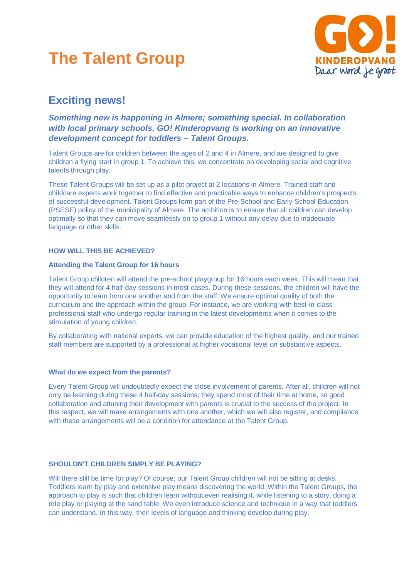# **The Talent Group**



# **Exciting news!**

# *Something new is happening in Almere; something special. In collaboration with local primary schools, GO! Kinderopvang is working on an innovative development concept for toddlers – Talent Groups.*

Talent Groups are for children between the ages of 2 and 4 in Almere, and are designed to give children a flying start in group 1. To achieve this, we concentrate on developing social and cognitive talents through play.

These Talent Groups will be set up as a pilot project at 2 locations in Almere. Trained staff and childcare experts work together to find effective and practicable ways to enhance children's prospects of successful development. Talent Groups form part of the Pre-School and Early-School Education (PSESE) policy of the municipality of Almere. The ambition is to ensure that all children can develop optimally so that they can move seamlessly on to group 1 without any delay due to inadequate language or other skills.

### **HOW WILL THIS BE ACHIEVED?**

#### **Attending the Talent Group for 16 hours**

Talent Group children will attend the pre-school playgroup for 16 hours each week. This will mean that they will attend for 4 half-day sessions in most cases. During these sessions, the children will have the opportunity to learn from one another and from the staff. We ensure optimal quality of both the curriculum and the approach within the group. For instance, we are working with best-in-class professional staff who undergo regular training in the latest developments when it comes to the stimulation of young children.

By collaborating with national experts, we can provide education of the highest quality, and our trained staff members are supported by a professional at higher vocational level on substantive aspects.

#### **What do we expect from the parents?**

Every Talent Group will undoubtedly expect the close involvement of parents. After all, children will not only be learning during these 4 half-day sessions; they spend most of their time at home, so good collaboration and attuning their development with parents is crucial to the success of the project. In this respect, we will make arrangements with one another, which we will also register, and compliance with these arrangements will be a condition for attendance at the Talent Group.

## **SHOULDN'T CHILDREN SIMPLY BE PLAYING?**

Will there still be time for play? Of course; our Talent Group children will not be sitting at desks. Toddlers learn by play and extensive play means discovering the world. Within the Talent Groups, the approach to play is such that children learn without even realising it, while listening to a story, doing a role play or playing at the sand table. We even introduce science and technique in a way that toddlers can understand. In this way, their levels of language and thinking develop during play.